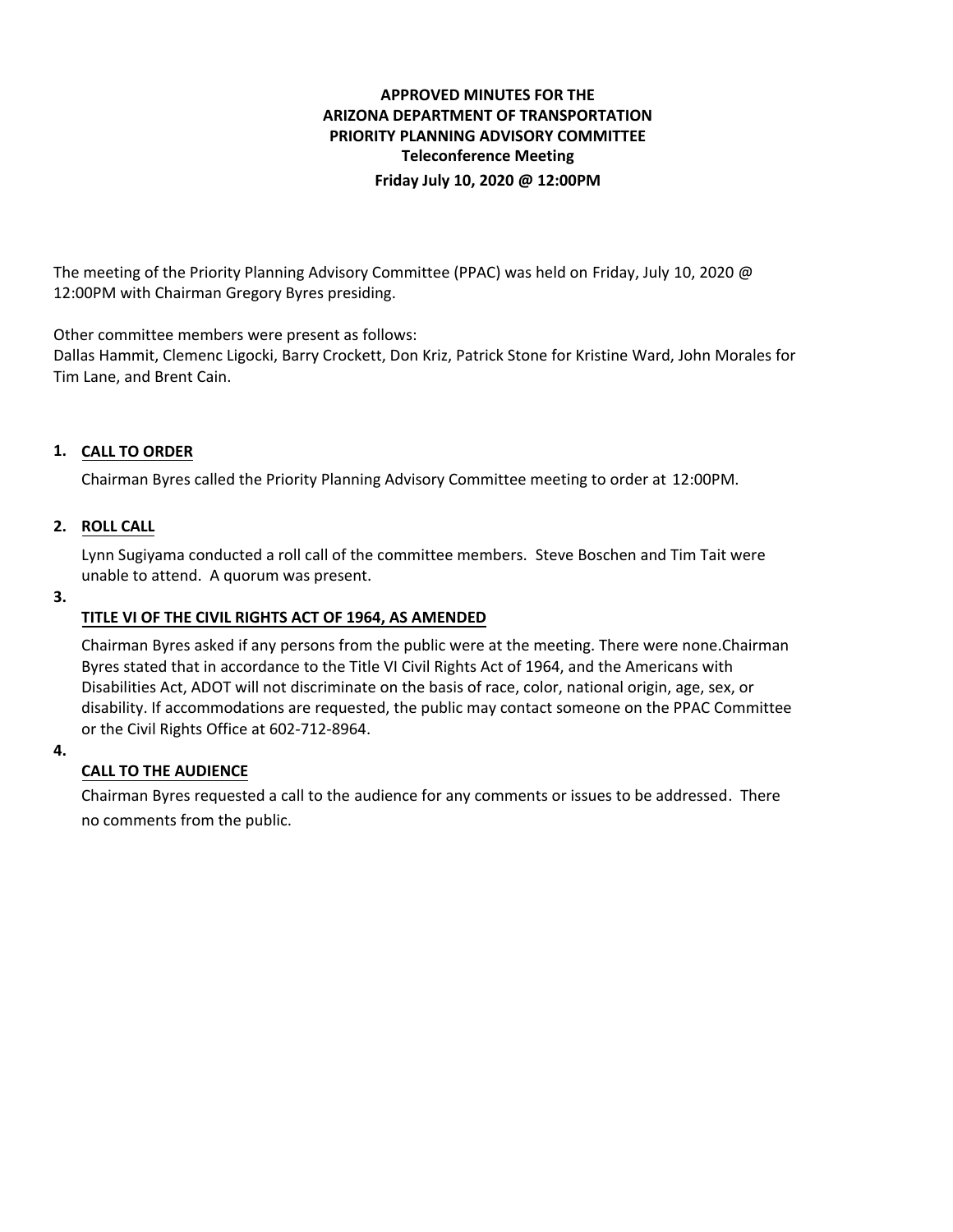# **APPROVED MINUTES FOR THE ARIZONA DEPARTMENT OF TRANSPORTATION PRIORITY PLANNING ADVISORY COMMITTEE Teleconference Meeting Friday July 10, 2020 @ 12:00PM**

The meeting of the Priority Planning Advisory Committee (PPAC) was held on Friday, July 10, 2020 @ 12:00PM with Chairman Gregory Byres presiding.

Other committee members were present as follows:

Dallas Hammit, Clemenc Ligocki, Barry Crockett, Don Kriz, Patrick Stone for Kristine Ward, John Morales for Tim Lane, and Brent Cain.

## **CALL TO ORDER 1.**

Chairman Byres called the Priority Planning Advisory Committee meeting to order at 12:00PM.

## **ROLL CALL 2.**

Lynn Sugiyama conducted a roll call of the committee members. Steve Boschen and Tim Tait were unable to attend. A quorum was present.

#### **3.**

### **TITLE VI OF THE CIVIL RIGHTS ACT OF 1964, AS AMENDED**

Chairman Byres asked if any persons from the public were at the meeting. There were none.Chairman Byres stated that in accordance to the Title VI Civil Rights Act of 1964, and the Americans with Disabilities Act, ADOT will not discriminate on the basis of race, color, national origin, age, sex, or disability. If accommodations are requested, the public may contact someone on the PPAC Committee or the Civil Rights Office at 602-712-8964.

#### **4.**

## **CALL TO THE AUDIENCE**

Chairman Byres requested a call to the audience for any comments or issues to be addressed. There no comments from the public.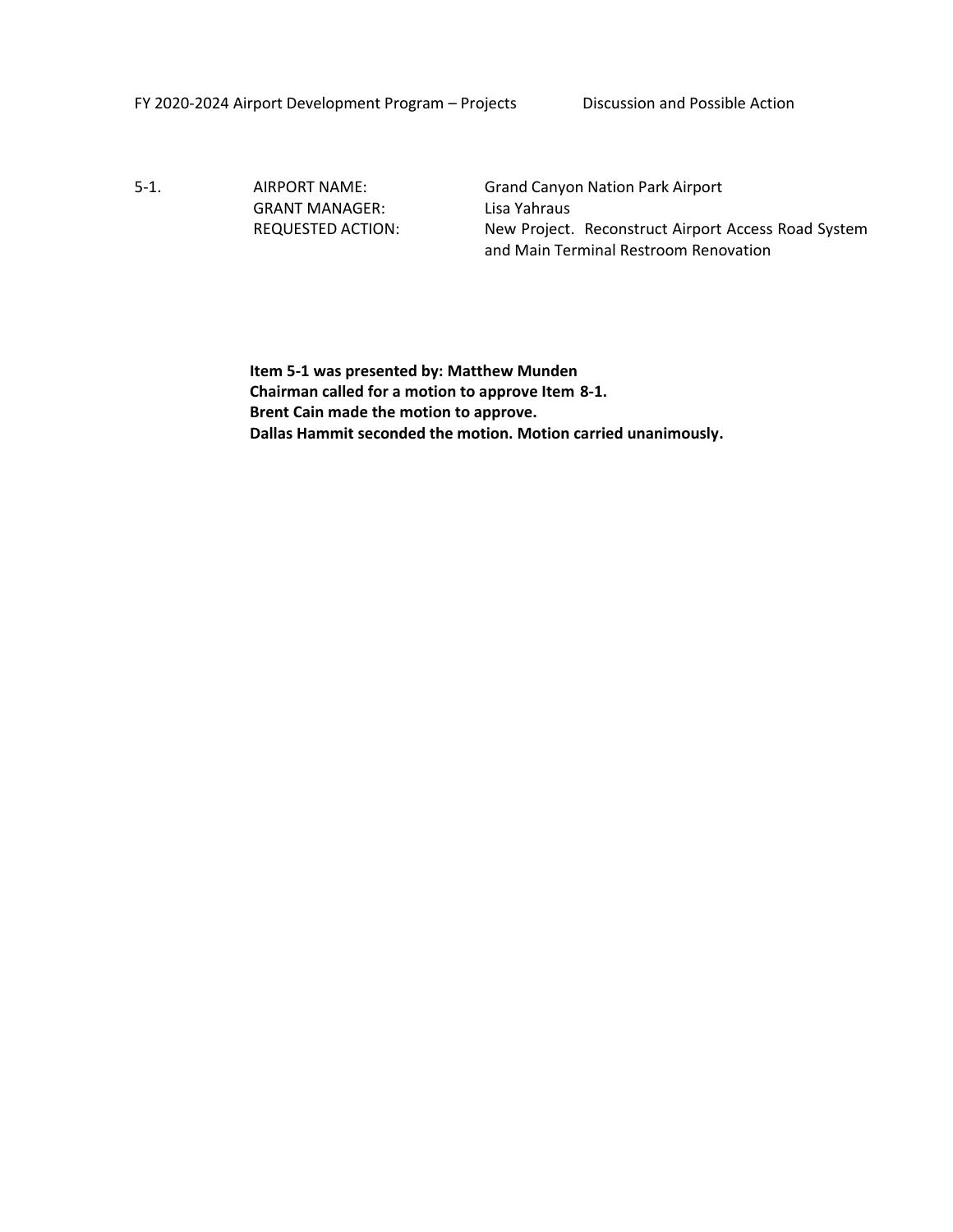FY 2020-2024 Airport Development Program – Projects Discussion and Possible Action

5-1. AIRPORT NAME: Grand Canyon Nation Park Airport GRANT MANAGER: Lisa Yahraus

REQUESTED ACTION: New Project. Reconstruct Airport Access Road System and Main Terminal Restroom Renovation

**Item 5-1 was presented by: Matthew Munden Chairman called for a motion to approve Item 8-1. Brent Cain made the motion to approve. Dallas Hammit seconded the motion. Motion carried unanimously.**